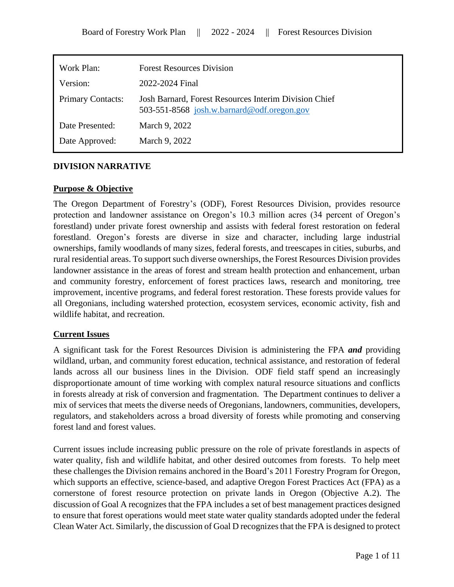| Work Plan:<br>Version:   | <b>Forest Resources Division</b><br>2022-2024 Final                                                 |
|--------------------------|-----------------------------------------------------------------------------------------------------|
| <b>Primary Contacts:</b> | Josh Barnard, Forest Resources Interim Division Chief<br>503-551-8568 josh.w.barnard@odf.oregon.gov |
| Date Presented:          | March 9, 2022                                                                                       |
| Date Approved:           | March 9, 2022                                                                                       |

#### **DIVISION NARRATIVE**

#### **Purpose & Objective**

Date Revised:

The Oregon Department of Forestry's (ODF), Forest Resources Division, provides resource protection and landowner assistance on Oregon's 10.3 million acres (34 percent of Oregon's forestland) under private forest ownership and assists with federal forest restoration on federal forestland. Oregon's forests are diverse in size and character, including large industrial ownerships, family woodlands of many sizes, federal forests, and treescapes in cities, suburbs, and rural residential areas. To support such diverse ownerships, the Forest Resources Division provides landowner assistance in the areas of forest and stream health protection and enhancement, urban and community forestry, enforcement of forest practices laws, research and monitoring, tree improvement, incentive programs, and federal forest restoration. These forests provide values for all Oregonians, including watershed protection, ecosystem services, economic activity, fish and wildlife habitat, and recreation.

## **Current Issues**

A significant task for the Forest Resources Division is administering the FPA *and* providing wildland, urban, and community forest education, technical assistance, and restoration of federal lands across all our business lines in the Division. ODF field staff spend an increasingly disproportionate amount of time working with complex natural resource situations and conflicts in forests already at risk of conversion and fragmentation. The Department continues to deliver a mix of services that meets the diverse needs of Oregonians, landowners, communities, developers, regulators, and stakeholders across a broad diversity of forests while promoting and conserving forest land and forest values.

Current issues include increasing public pressure on the role of private forestlands in aspects of water quality, fish and wildlife habitat, and other desired outcomes from forests. To help meet these challenges the Division remains anchored in the Board's 2011 Forestry Program for Oregon, which supports an effective, science-based, and adaptive Oregon Forest Practices Act (FPA) as a cornerstone of forest resource protection on private lands in Oregon (Objective A.2). The discussion of Goal A recognizes that the FPA includes a set of best management practices designed to ensure that forest operations would meet state water quality standards adopted under the federal Clean Water Act. Similarly, the discussion of Goal D recognizes that the FPA is designed to protect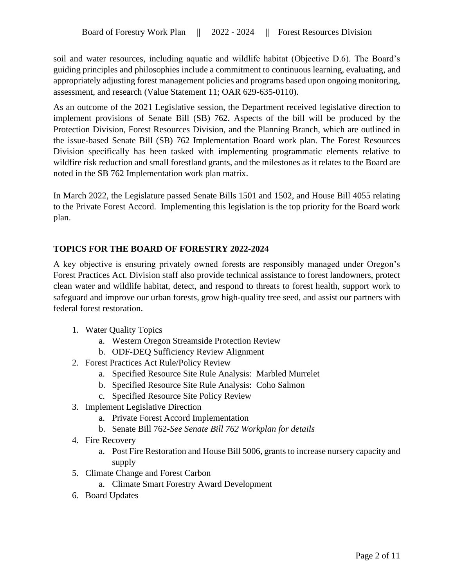soil and water resources, including aquatic and wildlife habitat (Objective D.6). The Board's guiding principles and philosophies include a commitment to continuous learning, evaluating, and appropriately adjusting forest management policies and programs based upon ongoing monitoring, assessment, and research (Value Statement 11; OAR 629-635-0110).

As an outcome of the 2021 Legislative session, the Department received legislative direction to implement provisions of Senate Bill (SB) 762. Aspects of the bill will be produced by the Protection Division, Forest Resources Division, and the Planning Branch, which are outlined in the issue-based Senate Bill (SB) 762 Implementation Board work plan. The Forest Resources Division specifically has been tasked with implementing programmatic elements relative to wildfire risk reduction and small forestland grants, and the milestones as it relates to the Board are noted in the SB 762 Implementation work plan matrix.

In March 2022, the Legislature passed Senate Bills 1501 and 1502, and House Bill 4055 relating to the Private Forest Accord. Implementing this legislation is the top priority for the Board work plan.

# **TOPICS FOR THE BOARD OF FORESTRY 2022-2024**

A key objective is ensuring privately owned forests are responsibly managed under Oregon's Forest Practices Act. Division staff also provide technical assistance to forest landowners, protect clean water and wildlife habitat, detect, and respond to threats to forest health, support work to safeguard and improve our urban forests, grow high-quality tree seed, and assist our partners with federal forest restoration.

- 1. Water Quality Topics
	- a. Western Oregon Streamside Protection Review
	- b. ODF-DEQ Sufficiency Review Alignment
- 2. Forest Practices Act Rule/Policy Review
	- a. Specified Resource Site Rule Analysis: Marbled Murrelet
	- b. Specified Resource Site Rule Analysis: Coho Salmon
	- c. Specified Resource Site Policy Review
- 3. Implement Legislative Direction
	- a. Private Forest Accord Implementation
	- b. Senate Bill 762-*See Senate Bill 762 Workplan for details*
- 4. Fire Recovery
	- a. Post Fire Restoration and House Bill 5006, grants to increase nursery capacity and supply
- 5. Climate Change and Forest Carbon
	- a. Climate Smart Forestry Award Development
- 6. Board Updates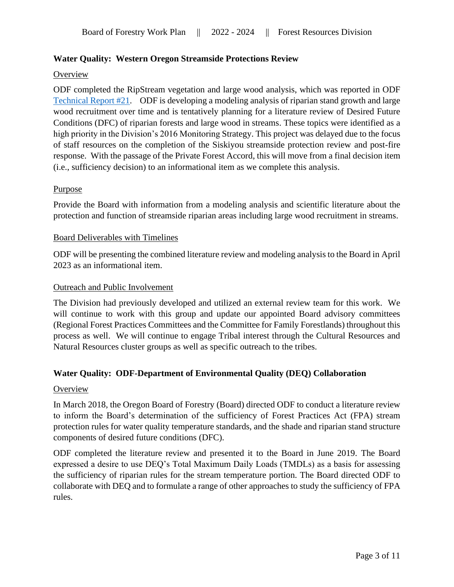# **Water Quality: Western Oregon Streamside Protections Review**

#### **Overview**

ODF completed the RipStream vegetation and large wood analysis, which was reported in [ODF](https://www.oregon.gov/odf/Documents/workingforests/monitoring-technical-report-21.pdf)  [Technical Report #21.](https://www.oregon.gov/odf/Documents/workingforests/monitoring-technical-report-21.pdf) ODF is developing a modeling analysis of riparian stand growth and large wood recruitment over time and is tentatively planning for a literature review of Desired Future Conditions (DFC) of riparian forests and large wood in streams. These topics were identified as a high priority in the Division's 2016 Monitoring Strategy. This project was delayed due to the focus of staff resources on the completion of the Siskiyou streamside protection review and post-fire response. With the passage of the Private Forest Accord, this will move from a final decision item (i.e., sufficiency decision) to an informational item as we complete this analysis.

## Purpose

Provide the Board with information from a modeling analysis and scientific literature about the protection and function of streamside riparian areas including large wood recruitment in streams.

#### Board Deliverables with Timelines

ODF will be presenting the combined literature review and modeling analysis to the Board in April 2023 as an informational item.

#### Outreach and Public Involvement

The Division had previously developed and utilized an external review team for this work. We will continue to work with this group and update our appointed Board advisory committees (Regional Forest Practices Committees and the Committee for Family Forestlands) throughout this process as well. We will continue to engage Tribal interest through the Cultural Resources and Natural Resources cluster groups as well as specific outreach to the tribes.

## **Water Quality: ODF-Department of Environmental Quality (DEQ) Collaboration**

#### **Overview**

In March 2018, the Oregon Board of Forestry (Board) directed ODF to conduct a literature review to inform the Board's determination of the sufficiency of Forest Practices Act (FPA) stream protection rules for water quality temperature standards, and the shade and riparian stand structure components of desired future conditions (DFC).

ODF completed the literature review and presented it to the Board in June 2019. The Board expressed a desire to use DEQ's Total Maximum Daily Loads (TMDLs) as a basis for assessing the sufficiency of riparian rules for the stream temperature portion. The Board directed ODF to collaborate with DEQ and to formulate a range of other approaches to study the sufficiency of FPA rules.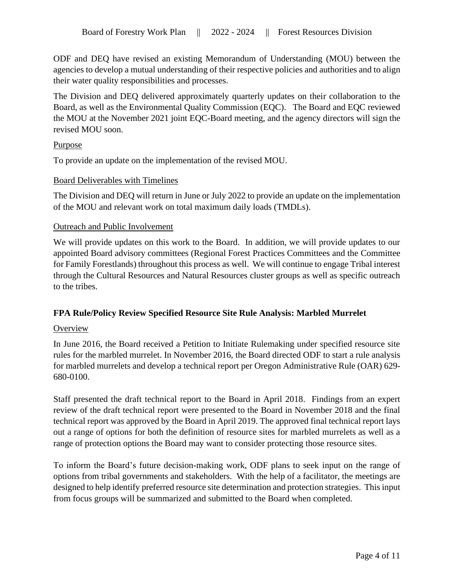ODF and DEQ have revised an existing Memorandum of Understanding (MOU) between the agencies to develop a mutual understanding of their respective policies and authorities and to align their water quality responsibilities and processes.

The Division and DEQ delivered approximately quarterly updates on their collaboration to the Board, as well as the Environmental Quality Commission (EQC). The Board and EQC reviewed the MOU at the November 2021 joint EQC-Board meeting, and the agency directors will sign the revised MOU soon.

# **Purpose**

To provide an update on the implementation of the revised MOU.

## Board Deliverables with Timelines

The Division and DEQ will return in June or July 2022 to provide an update on the implementation of the MOU and relevant work on total maximum daily loads (TMDLs).

## Outreach and Public Involvement

We will provide updates on this work to the Board. In addition, we will provide updates to our appointed Board advisory committees (Regional Forest Practices Committees and the Committee for Family Forestlands) throughout this process as well. We will continue to engage Tribal interest through the Cultural Resources and Natural Resources cluster groups as well as specific outreach to the tribes.

# **FPA Rule/Policy Review Specified Resource Site Rule Analysis: Marbled Murrelet**

# **Overview**

In June 2016, the Board received a Petition to Initiate Rulemaking under specified resource site rules for the marbled murrelet. In November 2016, the Board directed ODF to start a rule analysis for marbled murrelets and develop a technical report per Oregon Administrative Rule (OAR) 629- 680-0100.

Staff presented the draft technical report to the Board in April 2018. Findings from an expert review of the draft technical report were presented to the Board in November 2018 and the final technical report was approved by the Board in April 2019. The approved final technical report lays out a range of options for both the definition of resource sites for marbled murrelets as well as a range of protection options the Board may want to consider protecting those resource sites.

To inform the Board's future decision-making work, ODF plans to seek input on the range of options from tribal governments and stakeholders. With the help of a facilitator, the meetings are designed to help identify preferred resource site determination and protection strategies. This input from focus groups will be summarized and submitted to the Board when completed.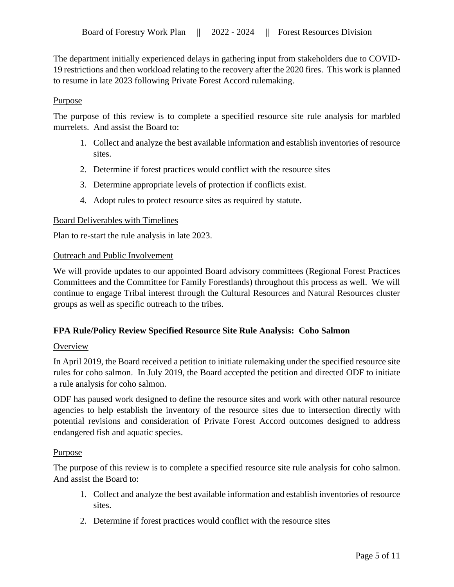The department initially experienced delays in gathering input from stakeholders due to COVID-19 restrictions and then workload relating to the recovery after the 2020 fires. This work is planned to resume in late 2023 following Private Forest Accord rulemaking.

# Purpose

The purpose of this review is to complete a specified resource site rule analysis for marbled murrelets. And assist the Board to:

- 1. Collect and analyze the best available information and establish inventories of resource sites.
- 2. Determine if forest practices would conflict with the resource sites
- 3. Determine appropriate levels of protection if conflicts exist.
- 4. Adopt rules to protect resource sites as required by statute.

# Board Deliverables with Timelines

Plan to re-start the rule analysis in late 2023.

# Outreach and Public Involvement

We will provide updates to our appointed Board advisory committees (Regional Forest Practices Committees and the Committee for Family Forestlands) throughout this process as well. We will continue to engage Tribal interest through the Cultural Resources and Natural Resources cluster groups as well as specific outreach to the tribes.

# **FPA Rule/Policy Review Specified Resource Site Rule Analysis: Coho Salmon**

# **Overview**

In April 2019, the Board received a petition to initiate rulemaking under the specified resource site rules for coho salmon. In July 2019, the Board accepted the petition and directed ODF to initiate a rule analysis for coho salmon.

ODF has paused work designed to define the resource sites and work with other natural resource agencies to help establish the inventory of the resource sites due to intersection directly with potential revisions and consideration of Private Forest Accord outcomes designed to address endangered fish and aquatic species.

## **Purpose**

The purpose of this review is to complete a specified resource site rule analysis for coho salmon. And assist the Board to:

- 1. Collect and analyze the best available information and establish inventories of resource sites.
- 2. Determine if forest practices would conflict with the resource sites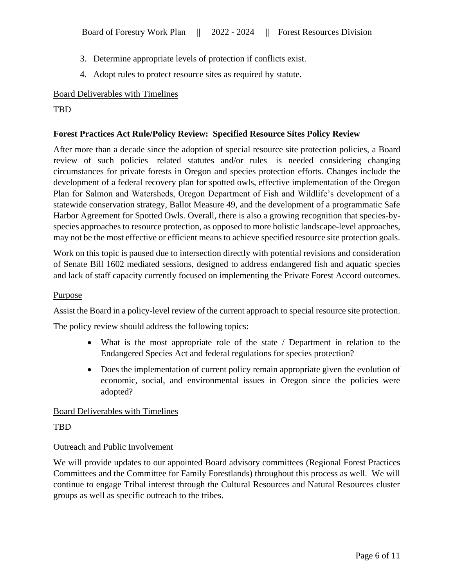- 3. Determine appropriate levels of protection if conflicts exist.
- 4. Adopt rules to protect resource sites as required by statute.

# Board Deliverables with Timelines

# **TBD**

# **Forest Practices Act Rule/Policy Review: Specified Resource Sites Policy Review**

After more than a decade since the adoption of special resource site protection policies, a Board review of such policies—related statutes and/or rules—is needed considering changing circumstances for private forests in Oregon and species protection efforts. Changes include the development of a federal recovery plan for spotted owls, effective implementation of the Oregon Plan for Salmon and Watersheds, Oregon Department of Fish and Wildlife's development of a statewide conservation strategy, Ballot Measure 49, and the development of a programmatic Safe Harbor Agreement for Spotted Owls. Overall, there is also a growing recognition that species-byspecies approaches to resource protection, as opposed to more holistic landscape-level approaches, may not be the most effective or efficient means to achieve specified resource site protection goals.

Work on this topic is paused due to intersection directly with potential revisions and consideration of Senate Bill 1602 mediated sessions, designed to address endangered fish and aquatic species and lack of staff capacity currently focused on implementing the Private Forest Accord outcomes.

# Purpose

Assist the Board in a policy-level review of the current approach to special resource site protection.

The policy review should address the following topics:

- What is the most appropriate role of the state / Department in relation to the Endangered Species Act and federal regulations for species protection?
- Does the implementation of current policy remain appropriate given the evolution of economic, social, and environmental issues in Oregon since the policies were adopted?

# Board Deliverables with Timelines

**TRD** 

# Outreach and Public Involvement

We will provide updates to our appointed Board advisory committees (Regional Forest Practices Committees and the Committee for Family Forestlands) throughout this process as well. We will continue to engage Tribal interest through the Cultural Resources and Natural Resources cluster groups as well as specific outreach to the tribes.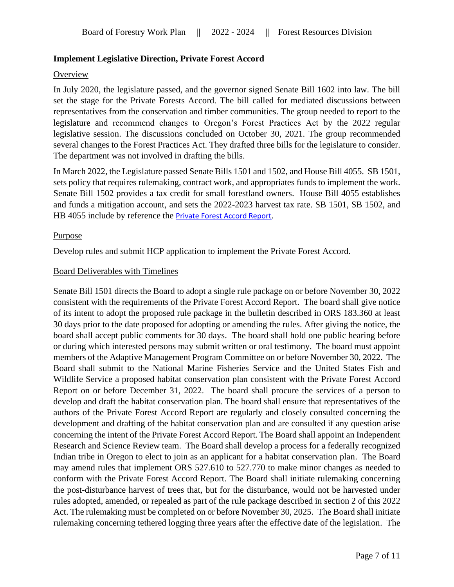# **Implement Legislative Direction, Private Forest Accord**

## **Overview**

In July 2020, the legislature passed, and the governor signed Senate Bill 1602 into law. The bill set the stage for the Private Forests Accord. The bill called for mediated discussions between representatives from the conservation and timber communities. The group needed to report to the legislature and recommend changes to Oregon's Forest Practices Act by the 2022 regular legislative session. The discussions concluded on October 30, 2021. The group recommended several changes to the Forest Practices Act. They drafted three bills for the legislature to consider. The department was not involved in drafting the bills.

In March 2022, the Legislature passed Senate Bills 1501 and 1502, and House Bill 4055. SB 1501, sets policy that requires rulemaking, contract work, and appropriates funds to implement the work. Senate Bill 1502 provides a tax credit for small forestland owners. House Bill 4055 establishes and funds a mitigation account, and sets the 2022-2023 harvest tax rate. SB 1501, SB 1502, and HB 4055 include by reference the **[Private Forest Accord Report](https://www.oregon.gov/odf/aboutodf/documents/2022-odf-private-forest-accord-report.pdf)**.

#### Purpose

Develop rules and submit HCP application to implement the Private Forest Accord.

#### Board Deliverables with Timelines

Senate Bill 1501 directs the Board to adopt a single rule package on or before November 30, 2022 consistent with the requirements of the Private Forest Accord Report. The board shall give notice of its intent to adopt the proposed rule package in the bulletin described in ORS 183.360 at least 30 days prior to the date proposed for adopting or amending the rules. After giving the notice, the board shall accept public comments for 30 days. The board shall hold one public hearing before or during which interested persons may submit written or oral testimony. The board must appoint members of the Adaptive Management Program Committee on or before November 30, 2022. The Board shall submit to the National Marine Fisheries Service and the United States Fish and Wildlife Service a proposed habitat conservation plan consistent with the Private Forest Accord Report on or before December 31, 2022. The board shall procure the services of a person to develop and draft the habitat conservation plan. The board shall ensure that representatives of the authors of the Private Forest Accord Report are regularly and closely consulted concerning the development and drafting of the habitat conservation plan and are consulted if any question arise concerning the intent of the Private Forest Accord Report. The Board shall appoint an Independent Research and Science Review team. The Board shall develop a process for a federally recognized Indian tribe in Oregon to elect to join as an applicant for a habitat conservation plan. The Board may amend rules that implement ORS 527.610 to 527.770 to make minor changes as needed to conform with the Private Forest Accord Report. The Board shall initiate rulemaking concerning the post-disturbance harvest of trees that, but for the disturbance, would not be harvested under rules adopted, amended, or repealed as part of the rule package described in section 2 of this 2022 Act. The rulemaking must be completed on or before November 30, 2025. The Board shall initiate rulemaking concerning tethered logging three years after the effective date of the legislation. The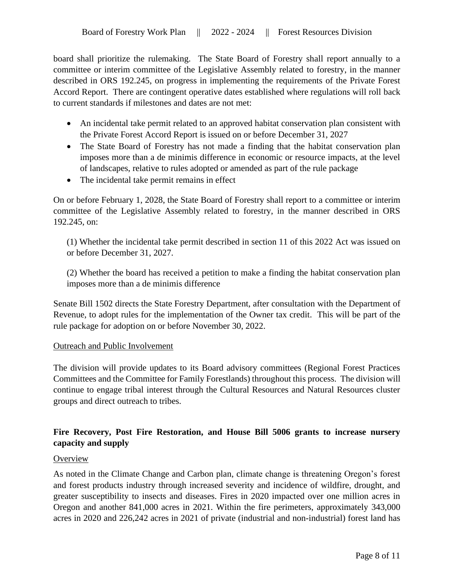board shall prioritize the rulemaking. The State Board of Forestry shall report annually to a committee or interim committee of the Legislative Assembly related to forestry, in the manner described in ORS 192.245, on progress in implementing the requirements of the Private Forest Accord Report. There are contingent operative dates established where regulations will roll back to current standards if milestones and dates are not met:

- An incidental take permit related to an approved habitat conservation plan consistent with the Private Forest Accord Report is issued on or before December 31, 2027
- The State Board of Forestry has not made a finding that the habitat conservation plan imposes more than a de minimis difference in economic or resource impacts, at the level of landscapes, relative to rules adopted or amended as part of the rule package
- The incidental take permit remains in effect

On or before February 1, 2028, the State Board of Forestry shall report to a committee or interim committee of the Legislative Assembly related to forestry, in the manner described in ORS 192.245, on:

(1) Whether the incidental take permit described in section 11 of this 2022 Act was issued on or before December 31, 2027.

(2) Whether the board has received a petition to make a finding the habitat conservation plan imposes more than a de minimis difference

Senate Bill 1502 directs the State Forestry Department, after consultation with the Department of Revenue, to adopt rules for the implementation of the Owner tax credit. This will be part of the rule package for adoption on or before November 30, 2022.

## Outreach and Public Involvement

The division will provide updates to its Board advisory committees (Regional Forest Practices Committees and the Committee for Family Forestlands) throughout this process. The division will continue to engage tribal interest through the Cultural Resources and Natural Resources cluster groups and direct outreach to tribes.

# **Fire Recovery, Post Fire Restoration, and House Bill 5006 grants to increase nursery capacity and supply**

## **Overview**

As noted in the Climate Change and Carbon plan, climate change is threatening Oregon's forest and forest products industry through increased severity and incidence of wildfire, drought, and greater susceptibility to insects and diseases. Fires in 2020 impacted over one million acres in Oregon and another 841,000 acres in 2021. Within the fire perimeters, approximately 343,000 acres in 2020 and 226,242 acres in 2021 of private (industrial and non-industrial) forest land has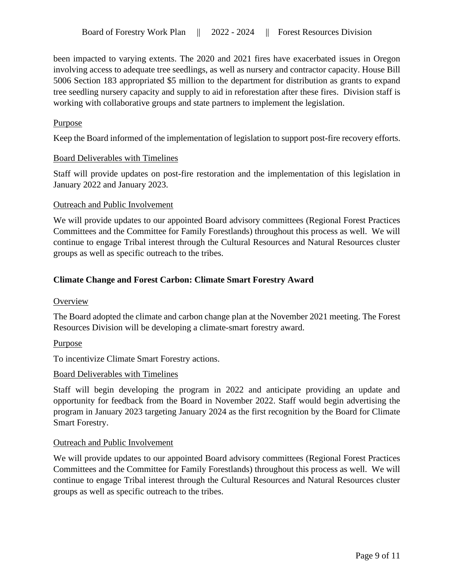been impacted to varying extents. The 2020 and 2021 fires have exacerbated issues in Oregon involving access to adequate tree seedlings, as well as nursery and contractor capacity. House Bill 5006 Section 183 appropriated \$5 million to the department for distribution as grants to expand tree seedling nursery capacity and supply to aid in reforestation after these fires. Division staff is working with collaborative groups and state partners to implement the legislation.

# Purpose

Keep the Board informed of the implementation of legislation to support post-fire recovery efforts.

## Board Deliverables with Timelines

Staff will provide updates on post-fire restoration and the implementation of this legislation in January 2022 and January 2023.

## Outreach and Public Involvement

We will provide updates to our appointed Board advisory committees (Regional Forest Practices Committees and the Committee for Family Forestlands) throughout this process as well. We will continue to engage Tribal interest through the Cultural Resources and Natural Resources cluster groups as well as specific outreach to the tribes.

# **Climate Change and Forest Carbon: Climate Smart Forestry Award**

## **Overview**

The Board adopted the climate and carbon change plan at the November 2021 meeting. The Forest Resources Division will be developing a climate-smart forestry award.

## Purpose

To incentivize Climate Smart Forestry actions.

## Board Deliverables with Timelines

Staff will begin developing the program in 2022 and anticipate providing an update and opportunity for feedback from the Board in November 2022. Staff would begin advertising the program in January 2023 targeting January 2024 as the first recognition by the Board for Climate Smart Forestry.

## Outreach and Public Involvement

We will provide updates to our appointed Board advisory committees (Regional Forest Practices Committees and the Committee for Family Forestlands) throughout this process as well. We will continue to engage Tribal interest through the Cultural Resources and Natural Resources cluster groups as well as specific outreach to the tribes.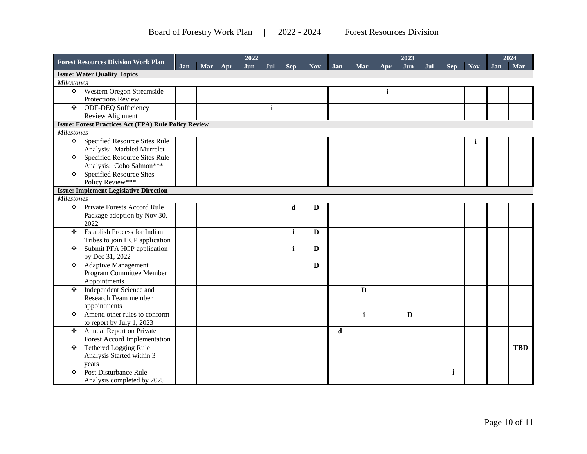| <b>Forest Resources Division Work Plan</b> |                                                             | 2022 |     |     |     |              |              |            | 2023 |              |              |     |     |              |            | 2024 |            |
|--------------------------------------------|-------------------------------------------------------------|------|-----|-----|-----|--------------|--------------|------------|------|--------------|--------------|-----|-----|--------------|------------|------|------------|
|                                            |                                                             | Jan  | Mar | Apr | Jun | Jul          | <b>Sep</b>   | <b>Nov</b> | Jan  | Mar          | Apr          | Jun | Jul | <b>Sep</b>   | <b>Nov</b> | Jan  | Mar        |
| <b>Issue: Water Quality Topics</b>         |                                                             |      |     |     |     |              |              |            |      |              |              |     |     |              |            |      |            |
| <b>Milestones</b>                          |                                                             |      |     |     |     |              |              |            |      |              |              |     |     |              |            |      |            |
| ❖                                          | Western Oregon Streamside                                   |      |     |     |     |              |              |            |      |              | $\mathbf{i}$ |     |     |              |            |      |            |
|                                            | <b>Protections Review</b>                                   |      |     |     |     |              |              |            |      |              |              |     |     |              |            |      |            |
| $\frac{1}{2}$                              | <b>ODF-DEQ Sufficiency</b>                                  |      |     |     |     | $\mathbf{i}$ |              |            |      |              |              |     |     |              |            |      |            |
|                                            | <b>Review Alignment</b>                                     |      |     |     |     |              |              |            |      |              |              |     |     |              |            |      |            |
|                                            | <b>Issue: Forest Practices Act (FPA) Rule Policy Review</b> |      |     |     |     |              |              |            |      |              |              |     |     |              |            |      |            |
| <b>Milestones</b>                          |                                                             |      |     |     |     |              |              |            |      |              |              |     |     |              |            |      |            |
| $\ddot{\bullet}$                           | <b>Specified Resource Sites Rule</b>                        |      |     |     |     |              |              |            |      |              |              |     |     |              | i          |      |            |
|                                            | Analysis: Marbled Murrelet                                  |      |     |     |     |              |              |            |      |              |              |     |     |              |            |      |            |
| $\ddot{\cdot}$                             | <b>Specified Resource Sites Rule</b>                        |      |     |     |     |              |              |            |      |              |              |     |     |              |            |      |            |
|                                            | Analysis: Coho Salmon***                                    |      |     |     |     |              |              |            |      |              |              |     |     |              |            |      |            |
| ❖                                          | <b>Specified Resource Sites</b>                             |      |     |     |     |              |              |            |      |              |              |     |     |              |            |      |            |
|                                            | Policy Review***                                            |      |     |     |     |              |              |            |      |              |              |     |     |              |            |      |            |
|                                            | <b>Issue: Implement Legislative Direction</b>               |      |     |     |     |              |              |            |      |              |              |     |     |              |            |      |            |
| <b>Milestones</b>                          |                                                             |      |     |     |     |              |              |            |      |              |              |     |     |              |            |      |            |
| ❖                                          | Private Forests Accord Rule                                 |      |     |     |     |              | d            | D          |      |              |              |     |     |              |            |      |            |
|                                            | Package adoption by Nov 30,                                 |      |     |     |     |              |              |            |      |              |              |     |     |              |            |      |            |
|                                            | 2022                                                        |      |     |     |     |              |              |            |      |              |              |     |     |              |            |      |            |
| $\bullet$                                  | <b>Establish Process for Indian</b>                         |      |     |     |     |              | $\mathbf i$  | D          |      |              |              |     |     |              |            |      |            |
|                                            | Tribes to join HCP application                              |      |     |     |     |              |              |            |      |              |              |     |     |              |            |      |            |
| ❖                                          | Submit PFA HCP application                                  |      |     |     |     |              | $\mathbf{i}$ | D          |      |              |              |     |     |              |            |      |            |
|                                            | by Dec 31, 2022                                             |      |     |     |     |              |              |            |      |              |              |     |     |              |            |      |            |
| ❖                                          | <b>Adaptive Management</b>                                  |      |     |     |     |              |              | D          |      |              |              |     |     |              |            |      |            |
|                                            | Program Committee Member                                    |      |     |     |     |              |              |            |      |              |              |     |     |              |            |      |            |
|                                            | Appointments                                                |      |     |     |     |              |              |            |      |              |              |     |     |              |            |      |            |
| ❖                                          | Independent Science and                                     |      |     |     |     |              |              |            |      | D            |              |     |     |              |            |      |            |
|                                            | Research Team member                                        |      |     |     |     |              |              |            |      |              |              |     |     |              |            |      |            |
|                                            | appointments                                                |      |     |     |     |              |              |            |      |              |              |     |     |              |            |      |            |
| ❖                                          | Amend other rules to conform                                |      |     |     |     |              |              |            |      | $\mathbf{i}$ |              | D   |     |              |            |      |            |
|                                            | to report by July 1, 2023                                   |      |     |     |     |              |              |            |      |              |              |     |     |              |            |      |            |
| ❖                                          | Annual Report on Private                                    |      |     |     |     |              |              |            | d    |              |              |     |     |              |            |      |            |
|                                            | Forest Accord Implementation                                |      |     |     |     |              |              |            |      |              |              |     |     |              |            |      |            |
| ❖                                          | <b>Tethered Logging Rule</b>                                |      |     |     |     |              |              |            |      |              |              |     |     |              |            |      | <b>TBD</b> |
|                                            | Analysis Started within 3                                   |      |     |     |     |              |              |            |      |              |              |     |     |              |            |      |            |
|                                            | years                                                       |      |     |     |     |              |              |            |      |              |              |     |     |              |            |      |            |
| ❖                                          | Post Disturbance Rule                                       |      |     |     |     |              |              |            |      |              |              |     |     | $\mathbf{i}$ |            |      |            |
|                                            | Analysis completed by 2025                                  |      |     |     |     |              |              |            |      |              |              |     |     |              |            |      |            |